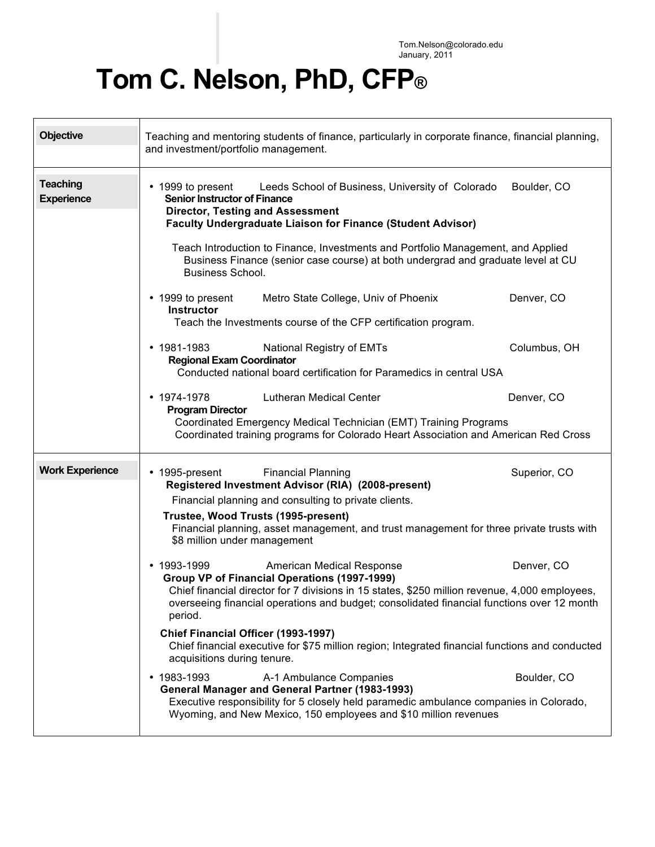Tom.Nelson@colorado.edu January, 2011

## **Tom C. Nelson, PhD, CFP®**

| <b>Objective</b>                     | Teaching and mentoring students of finance, particularly in corporate finance, financial planning,<br>and investment/portfolio management.                                                                                                                                                                                                                                                                                                                                                                                                                                                                                                                                                                                                                                                                                                                                                                                                                                                                                                                                                                                      |  |  |
|--------------------------------------|---------------------------------------------------------------------------------------------------------------------------------------------------------------------------------------------------------------------------------------------------------------------------------------------------------------------------------------------------------------------------------------------------------------------------------------------------------------------------------------------------------------------------------------------------------------------------------------------------------------------------------------------------------------------------------------------------------------------------------------------------------------------------------------------------------------------------------------------------------------------------------------------------------------------------------------------------------------------------------------------------------------------------------------------------------------------------------------------------------------------------------|--|--|
| <b>Teaching</b><br><b>Experience</b> | Leeds School of Business, University of Colorado<br>Boulder, CO<br>• 1999 to present<br><b>Senior Instructor of Finance</b><br><b>Director, Testing and Assessment</b><br><b>Faculty Undergraduate Liaison for Finance (Student Advisor)</b><br>Teach Introduction to Finance, Investments and Portfolio Management, and Applied<br>Business Finance (senior case course) at both undergrad and graduate level at CU                                                                                                                                                                                                                                                                                                                                                                                                                                                                                                                                                                                                                                                                                                            |  |  |
|                                      | <b>Business School.</b><br>Denver, CO<br>• 1999 to present<br>Metro State College, Univ of Phoenix<br><b>Instructor</b><br>Teach the Investments course of the CFP certification program.                                                                                                                                                                                                                                                                                                                                                                                                                                                                                                                                                                                                                                                                                                                                                                                                                                                                                                                                       |  |  |
|                                      | $• 1981 - 1983$<br>Columbus, OH<br>National Registry of EMTs<br><b>Regional Exam Coordinator</b><br>Conducted national board certification for Paramedics in central USA                                                                                                                                                                                                                                                                                                                                                                                                                                                                                                                                                                                                                                                                                                                                                                                                                                                                                                                                                        |  |  |
|                                      | Denver, CO<br>$\cdot$ 1974-1978<br><b>Lutheran Medical Center</b><br><b>Program Director</b><br>Coordinated Emergency Medical Technician (EMT) Training Programs<br>Coordinated training programs for Colorado Heart Association and American Red Cross                                                                                                                                                                                                                                                                                                                                                                                                                                                                                                                                                                                                                                                                                                                                                                                                                                                                         |  |  |
| <b>Work Experience</b>               | • 1995-present<br><b>Financial Planning</b><br>Superior, CO<br>Registered Investment Advisor (RIA) (2008-present)<br>Financial planning and consulting to private clients.<br>Trustee, Wood Trusts (1995-present)<br>Financial planning, asset management, and trust management for three private trusts with<br>\$8 million under management<br>$\cdot$ 1993-1999<br>Denver, CO<br>American Medical Response<br>Group VP of Financial Operations (1997-1999)<br>Chief financial director for 7 divisions in 15 states, \$250 million revenue, 4,000 employees,<br>overseeing financial operations and budget; consolidated financial functions over 12 month<br>period.<br>Chief Financial Officer (1993-1997)<br>Chief financial executive for \$75 million region; Integrated financial functions and conducted<br>acquisitions during tenure.<br>$• 1983 - 1993$<br>Boulder, CO<br>A-1 Ambulance Companies<br>General Manager and General Partner (1983-1993)<br>Executive responsibility for 5 closely held paramedic ambulance companies in Colorado,<br>Wyoming, and New Mexico, 150 employees and \$10 million revenues |  |  |